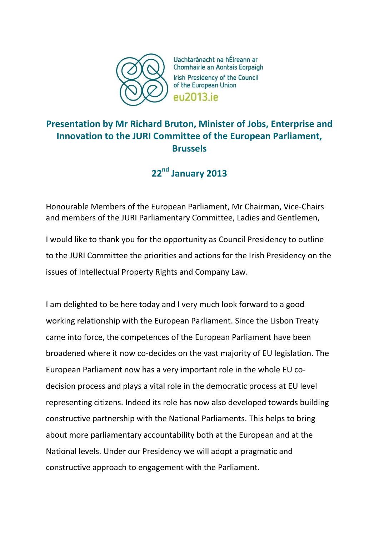

Uachtaránacht na hÉireann ar Chomhairle an Aontais Eorpaigh Irish Presidency of the Council of the European Union eu2013 je

## **Presentation by Mr Richard Bruton, Minister of Jobs, Enterprise and Innovation to the JURI Committee of the European Parliament, Brussels**

**22nd January 2013**

Honourable Members of the European Parliament, Mr Chairman, Vice-Chairs and members of the JURI Parliamentary Committee, Ladies and Gentlemen,

I would like to thank you for the opportunity as Council Presidency to outline to the JURI Committee the priorities and actions for the Irish Presidency on the issues of Intellectual Property Rights and Company Law.

I am delighted to be here today and I very much look forward to a good working relationship with the European Parliament. Since the Lisbon Treaty came into force, the competences of the European Parliament have been broadened where it now co-decides on the vast majority of EU legislation. The European Parliament now has a very important role in the whole EU codecision process and plays a vital role in the democratic process at EU level representing citizens. Indeed its role has now also developed towards building constructive partnership with the National Parliaments. This helps to bring about more parliamentary accountability both at the European and at the National levels. Under our Presidency we will adopt a pragmatic and constructive approach to engagement with the Parliament.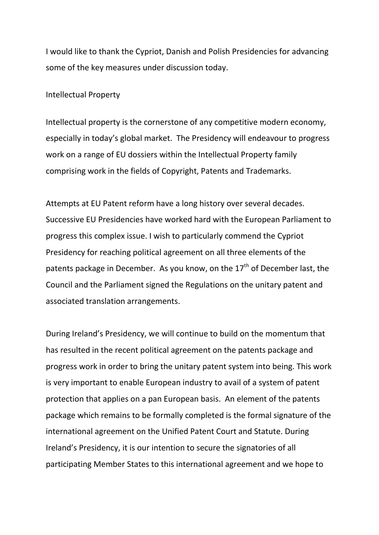I would like to thank the Cypriot, Danish and Polish Presidencies for advancing some of the key measures under discussion today.

Intellectual Property

Intellectual property is the cornerstone of any competitive modern economy, especially in today's global market. The Presidency will endeavour to progress work on a range of EU dossiers within the Intellectual Property family comprising work in the fields of Copyright, Patents and Trademarks.

Attempts at EU Patent reform have a long history over several decades. Successive EU Presidencies have worked hard with the European Parliament to progress this complex issue. I wish to particularly commend the Cypriot Presidency for reaching political agreement on all three elements of the patents package in December. As you know, on the  $17<sup>th</sup>$  of December last, the Council and the Parliament signed the Regulations on the unitary patent and associated translation arrangements.

During Ireland's Presidency, we will continue to build on the momentum that has resulted in the recent political agreement on the patents package and progress work in order to bring the unitary patent system into being. This work is very important to enable European industry to avail of a system of patent protection that applies on a pan European basis. An element of the patents package which remains to be formally completed is the formal signature of the international agreement on the Unified Patent Court and Statute. During Ireland's Presidency, it is our intention to secure the signatories of all participating Member States to this international agreement and we hope to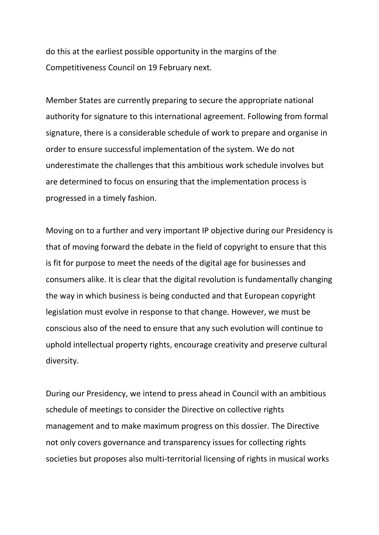do this at the earliest possible opportunity in the margins of the Competitiveness Council on 19 February next.

Member States are currently preparing to secure the appropriate national authority for signature to this international agreement. Following from formal signature, there is a considerable schedule of work to prepare and organise in order to ensure successful implementation of the system. We do not underestimate the challenges that this ambitious work schedule involves but are determined to focus on ensuring that the implementation process is progressed in a timely fashion.

Moving on to a further and very important IP objective during our Presidency is that of moving forward the debate in the field of copyright to ensure that this is fit for purpose to meet the needs of the digital age for businesses and consumers alike. It is clear that the digital revolution is fundamentally changing the way in which business is being conducted and that European copyright legislation must evolve in response to that change. However, we must be conscious also of the need to ensure that any such evolution will continue to uphold intellectual property rights, encourage creativity and preserve cultural diversity.

During our Presidency, we intend to press ahead in Council with an ambitious schedule of meetings to consider the Directive on collective rights management and to make maximum progress on this dossier. The Directive not only covers governance and transparency issues for collecting rights societies but proposes also multi-territorial licensing of rights in musical works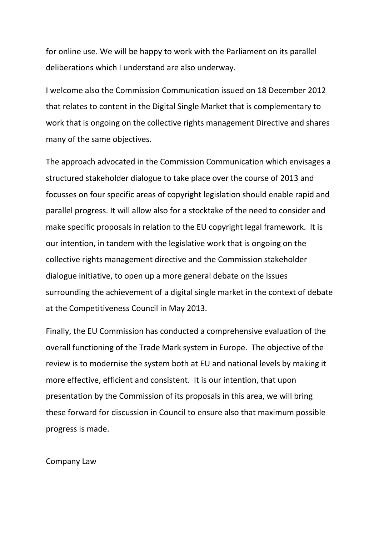for online use. We will be happy to work with the Parliament on its parallel deliberations which I understand are also underway.

I welcome also the Commission Communication issued on 18 December 2012 that relates to content in the Digital Single Market that is complementary to work that is ongoing on the collective rights management Directive and shares many of the same objectives.

The approach advocated in the Commission Communication which envisages a structured stakeholder dialogue to take place over the course of 2013 and focusses on four specific areas of copyright legislation should enable rapid and parallel progress. It will allow also for a stocktake of the need to consider and make specific proposals in relation to the EU copyright legal framework. It is our intention, in tandem with the legislative work that is ongoing on the collective rights management directive and the Commission stakeholder dialogue initiative, to open up a more general debate on the issues surrounding the achievement of a digital single market in the context of debate at the Competitiveness Council in May 2013.

Finally, the EU Commission has conducted a comprehensive evaluation of the overall functioning of the Trade Mark system in Europe. The objective of the review is to modernise the system both at EU and national levels by making it more effective, efficient and consistent. It is our intention, that upon presentation by the Commission of its proposals in this area, we will bring these forward for discussion in Council to ensure also that maximum possible progress is made.

## Company Law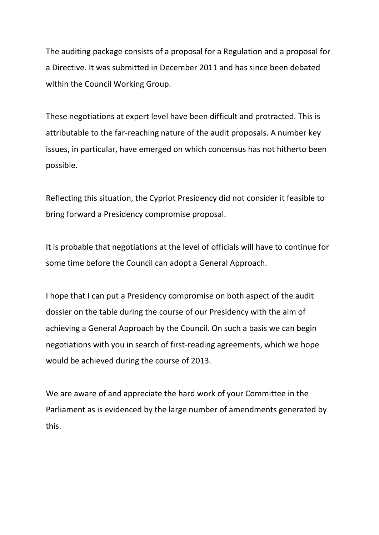The auditing package consists of a proposal for a Regulation and a proposal for a Directive. It was submitted in December 2011 and has since been debated within the Council Working Group.

These negotiations at expert level have been difficult and protracted. This is attributable to the far-reaching nature of the audit proposals. A number key issues, in particular, have emerged on which concensus has not hitherto been possible.

Reflecting this situation, the Cypriot Presidency did not consider it feasible to bring forward a Presidency compromise proposal.

It is probable that negotiations at the level of officials will have to continue for some time before the Council can adopt a General Approach.

I hope that I can put a Presidency compromise on both aspect of the audit dossier on the table during the course of our Presidency with the aim of achieving a General Approach by the Council. On such a basis we can begin negotiations with you in search of first-reading agreements, which we hope would be achieved during the course of 2013.

We are aware of and appreciate the hard work of your Committee in the Parliament as is evidenced by the large number of amendments generated by this.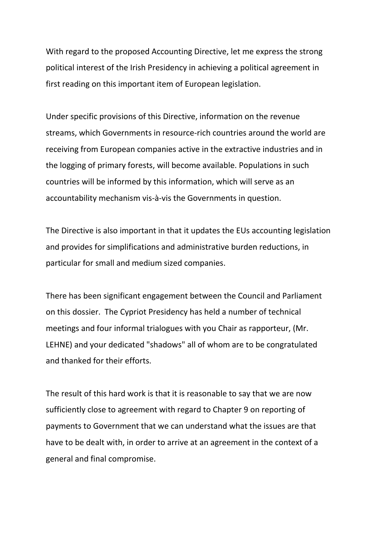With regard to the proposed Accounting Directive, let me express the strong political interest of the Irish Presidency in achieving a political agreement in first reading on this important item of European legislation.

Under specific provisions of this Directive, information on the revenue streams, which Governments in resource-rich countries around the world are receiving from European companies active in the extractive industries and in the logging of primary forests, will become available. Populations in such countries will be informed by this information, which will serve as an accountability mechanism vis-à-vis the Governments in question.

The Directive is also important in that it updates the EUs accounting legislation and provides for simplifications and administrative burden reductions, in particular for small and medium sized companies.

There has been significant engagement between the Council and Parliament on this dossier. The Cypriot Presidency has held a number of technical meetings and four informal trialogues with you Chair as rapporteur, (Mr. LEHNE) and your dedicated "shadows" all of whom are to be congratulated and thanked for their efforts.

The result of this hard work is that it is reasonable to say that we are now sufficiently close to agreement with regard to Chapter 9 on reporting of payments to Government that we can understand what the issues are that have to be dealt with, in order to arrive at an agreement in the context of a general and final compromise.